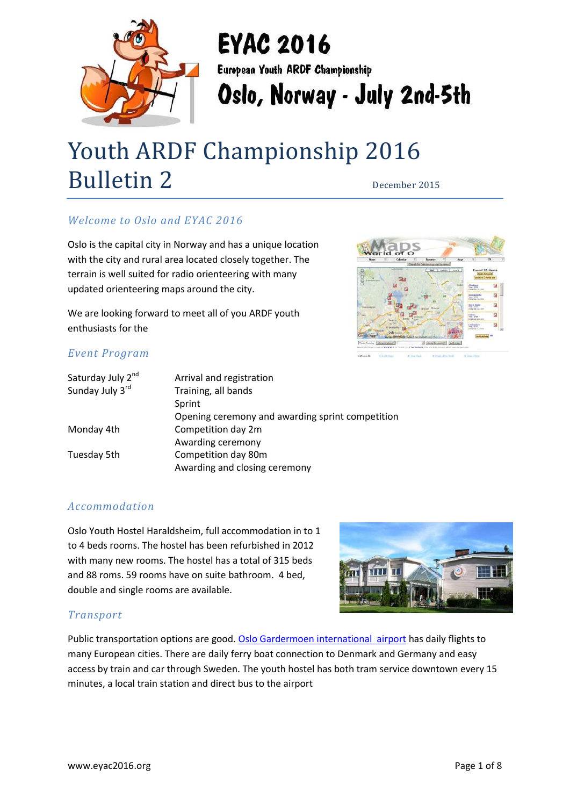

# **EYAC 2016**

European Youth ARDF Championship

Oslo, Norway - July 2nd-5th

# Youth ARDF Championship 2016 Bulletin 2 December 2015

# *Welcome to Oslo and EYAC 2016*

Oslo is the capital city in Norway and has a unique location with the city and rural area located closely together. The terrain is well suited for radio orienteering with many updated orienteering maps around the city.

We are looking forward to meet all of you ARDF youth enthusiasts for the



### *Event Program*

| Saturday July 2 <sup>nd</sup> | Arrival and registration                         |
|-------------------------------|--------------------------------------------------|
| Sunday July 3rd               | Training, all bands                              |
|                               | Sprint                                           |
|                               | Opening ceremony and awarding sprint competition |
| Monday 4th                    | Competition day 2m                               |
|                               | Awarding ceremony                                |
| Tuesday 5th                   | Competition day 80m                              |
|                               | Awarding and closing ceremony                    |

### *Accommodation*

Oslo Youth Hostel Haraldsheim, full accommodation in to 1 to 4 beds rooms. The hostel has been refurbished in 2012 with many new rooms. The hostel has a total of 315 beds and 88 roms. 59 rooms have on suite bathroom. 4 bed, double and single rooms are available.



### *Transport*

Public transportation options are good. [Oslo Gardermoen international airport](https://avinor.no/flyplass/oslo/) has daily flights to many European cities. There are daily ferry boat connection to Denmark and Germany and easy access by train and car through Sweden. The youth hostel has both tram service downtown every 15 minutes, a local train station and direct bus to the airport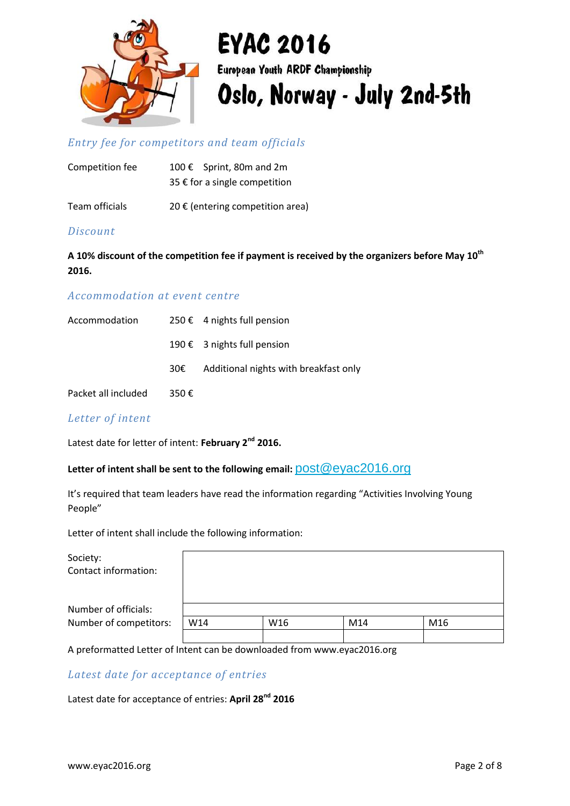

# *Entry fee for competitors and team officials*

| Competition fee | 100 € Sprint, 80m and 2m      |  |  |  |
|-----------------|-------------------------------|--|--|--|
|                 | 35 € for a single competition |  |  |  |
|                 |                               |  |  |  |

Team officials  $20 \in ($ entering competition area)

#### *Discount*

**A 10% discount of the competition fee if payment is received by the organizers before May 10th 2016.**

#### *Accommodation at event centre*

| Accommodation       |      | 250 € 4 nights full pension           |
|---------------------|------|---------------------------------------|
|                     |      | 190 € 3 nights full pension           |
|                     | 30€  | Additional nights with breakfast only |
| Packet all included | 350€ |                                       |

#### *Letter of intent*

Latest date for letter of intent: **February 2nd 2016.**

#### Letter of intent shall be sent to the following email:  $\text{post@evac2016.org}$

It's required that team leaders have read the information regarding "Activities Involving Young People"

Letter of intent shall include the following information:

| Society:<br>Contact information: |     |     |     |     |
|----------------------------------|-----|-----|-----|-----|
| Number of officials:             |     |     |     |     |
| Number of competitors:           | W14 | W16 | M14 | M16 |
|                                  |     |     |     |     |

A preformatted Letter of Intent can be downloaded from www.eyac2016.org

#### *Latest date for acceptance of entries*

Latest date for acceptance of entries: **April 28nd 2016**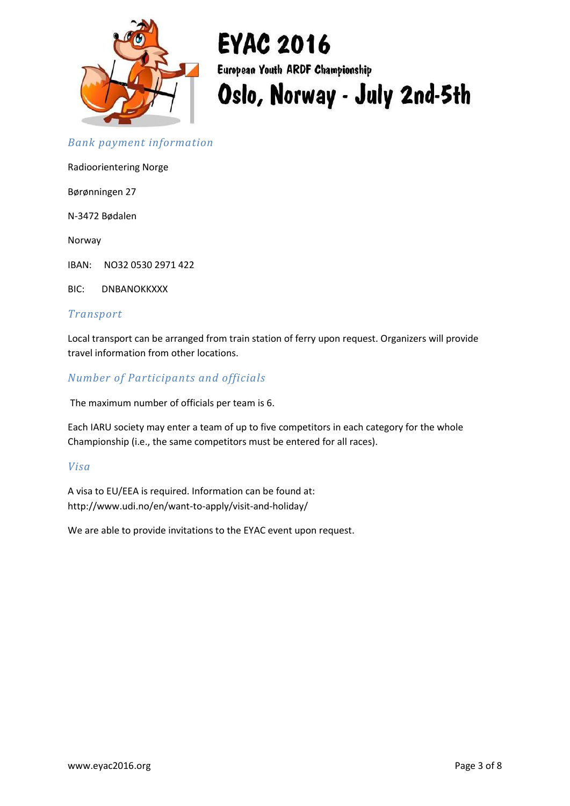

#### *Bank payment information*

Radioorientering Norge

Børønningen 27

N-3472 Bødalen

Norway

IBAN: NO32 0530 2971 422

BIC: DNBANOKKXXX

#### *Transport*

Local transport can be arranged from train station of ferry upon request. Organizers will provide travel information from other locations.

#### *Number of Participants and officials*

The maximum number of officials per team is 6.

Each IARU society may enter a team of up to five competitors in each category for the whole Championship (i.e., the same competitors must be entered for all races).

#### *Visa*

A visa to EU/EEA is required. Information can be found at: http://www.udi.no/en/want-to-apply/visit-and-holiday/

We are able to provide invitations to the EYAC event upon request.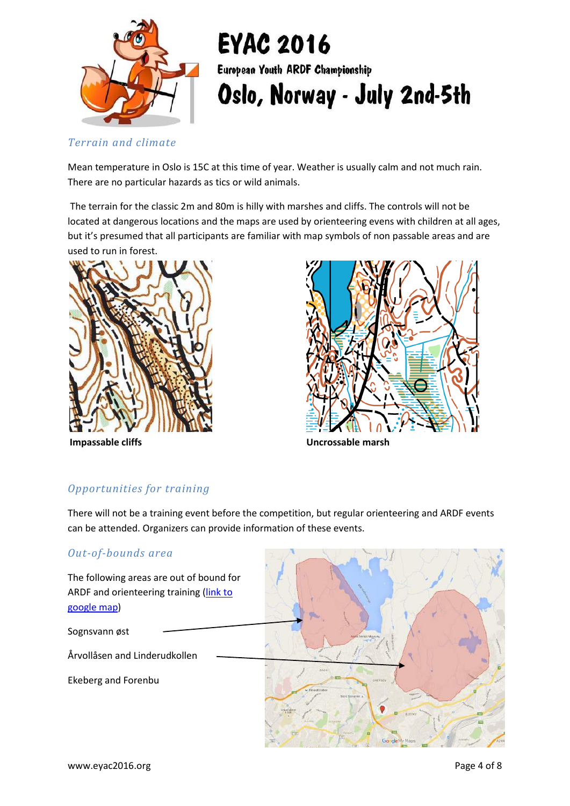

*Terrain and climate*

Mean temperature in Oslo is 15C at this time of year. Weather is usually calm and not much rain. There are no particular hazards as tics or wild animals.

The terrain for the classic 2m and 80m is hilly with marshes and cliffs. The controls will not be located at dangerous locations and the maps are used by orienteering evens with children at all ages, but it's presumed that all participants are familiar with map symbols of non passable areas and are used to run in forest.





**Impassable cliffs Uncrossable marsh**

# *Opportunities for training*

There will not be a training event before the competition, but regular orienteering and ARDF events can be attended. Organizers can provide information of these events.

### *Out-of-bounds area*

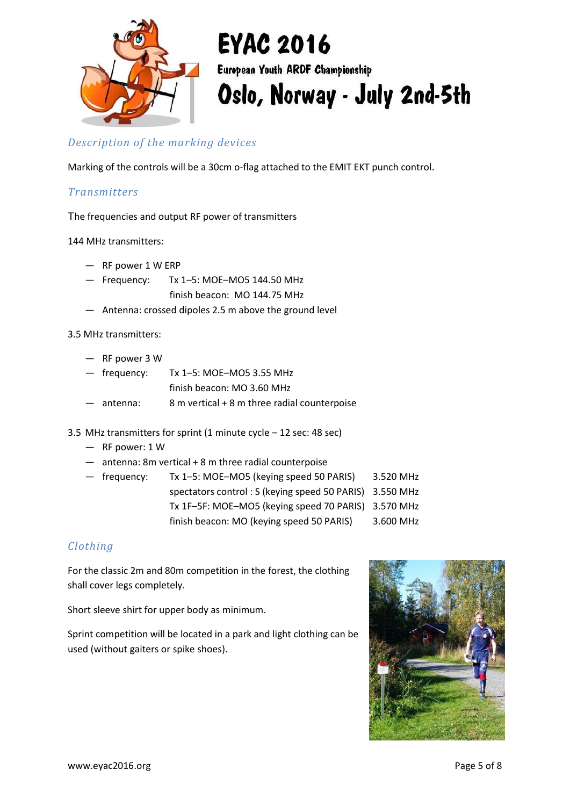

### *Description of the marking devices*

Marking of the controls will be a 30cm o-flag attached to the EMIT EKT punch control.

#### *Transmitters*

The frequencies and output RF power of transmitters

144 MHz transmitters:

- RF power 1 W ERP
- Frequency: Tx 1–5: MOE–MO5 144.50 MHz finish beacon: MO 144.75 MHz
- Antenna: crossed dipoles 2.5 m above the ground level

3.5 MHz transmitters:

- RF power 3 W
- frequency: Tx 1–5: MOE–MO5 3.55 MHz
	- finish beacon: MO 3.60 MHz
- antenna:  $8 \text{ m vertical + 8 m three radial counterpoise}$
- 3.5 MHz transmitters for sprint (1 minute cycle 12 sec: 48 sec)
	- RF power: 1 W
	- antenna: 8m vertical + 8 m three radial counterpoise

— frequency: Tx 1–5: MOE–MO5 (keying speed 50 PARIS) 3.520 MHz spectators control : S (keying speed 50 PARIS) 3.550 MHz Tx 1F–5F: MOE–MO5 (keying speed 70 PARIS) 3.570 MHz finish beacon: MO (keying speed 50 PARIS) 3.600 MHz

### *Clothing*

For the classic 2m and 80m competition in the forest, the clothing shall cover legs completely.

Short sleeve shirt for upper body as minimum.

Sprint competition will be located in a park and light clothing can be used (without gaiters or spike shoes).

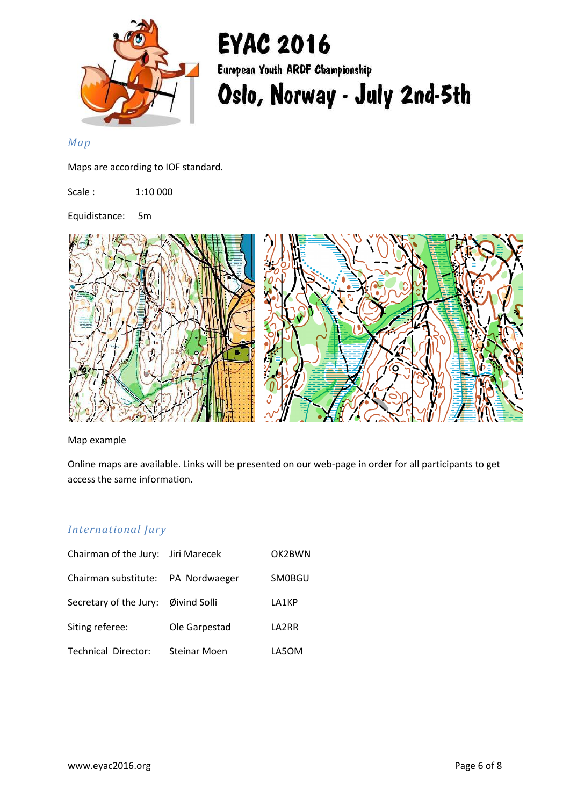

#### *Map*

Maps are according to IOF standard.

Scale : 1:10 000

Equidistance: 5m



Map example

Online maps are available. Links will be presented on our web-page in order for all participants to get access the same information.

#### *International Jury*

| Chairman of the Jury: Jiri Marecek  |                     | OK2BWN |
|-------------------------------------|---------------------|--------|
| Chairman substitute: PA Nordwaeger  |                     | SM0BGU |
| Secretary of the Jury: Øivind Solli |                     | LA1KP  |
| Siting referee:                     | Ole Garpestad       | LA2RR  |
| <b>Technical Director:</b>          | <b>Steinar Moen</b> | LA5OM  |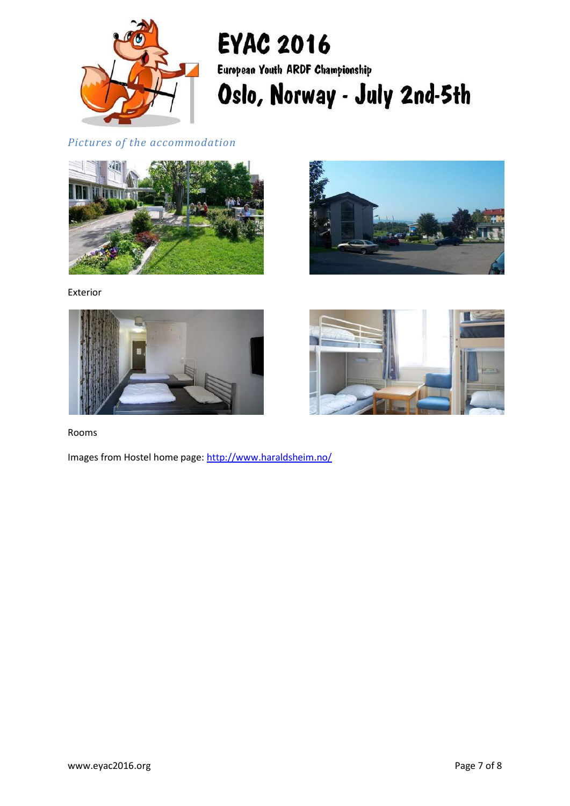

# *Pictures of the accommodation*





Exterior





Rooms

Images from Hostel home page:<http://www.haraldsheim.no/>